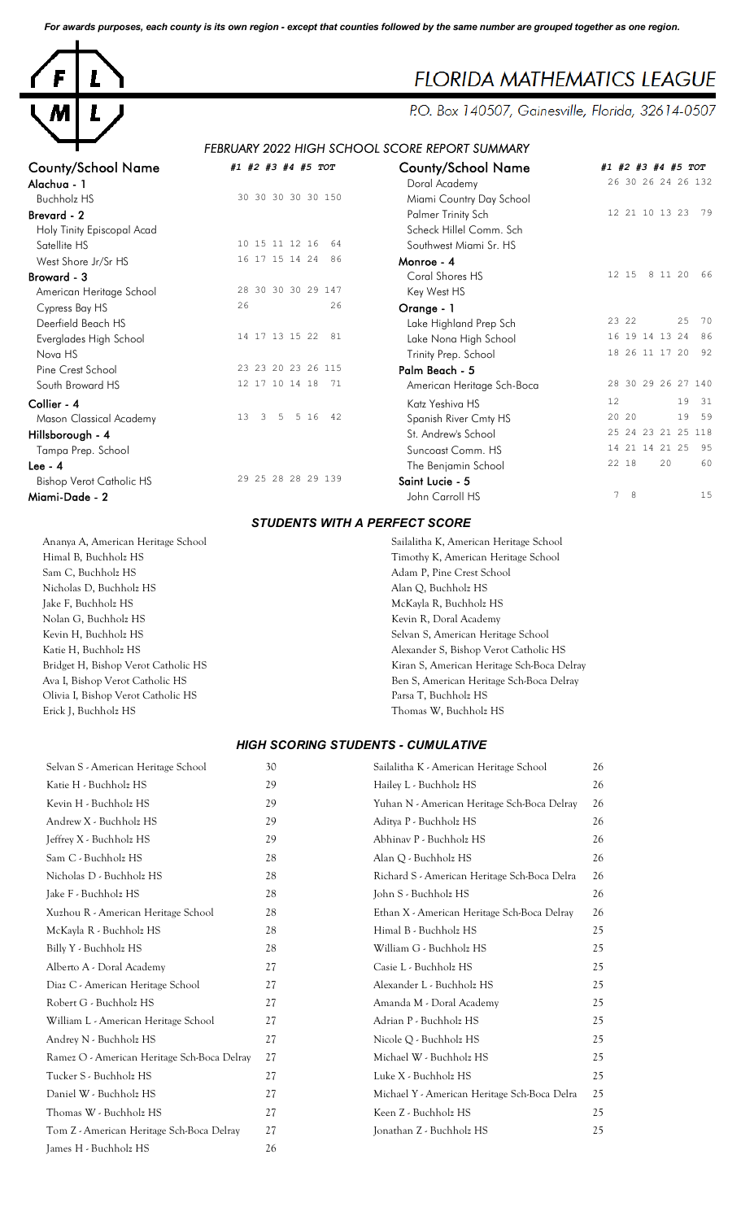*For awards purposes, each county is its own region - except that counties followed by the same number are grouped together as one region.*



# **FLORIDA MATHEMATICS LEAGUE**

P.O. Box 140507, Gainesville, Florida, 32614-0507

## *FEBRUARY 2022 HIGH SCHOOL SCORE REPORT SUMMARY*

| <b>County/School Name</b>       | #1 #2 #3 #4 #5 TOT                         | <b>County/School Name</b>  | #1 #2 #3 #4 #5 TOT   |
|---------------------------------|--------------------------------------------|----------------------------|----------------------|
| Alachua - 1                     |                                            | Doral Academy              | 26 30 26 24 26 132   |
| <b>Buchholz HS</b>              | 30 30 30 30 30 150                         | Miami Country Day School   |                      |
| Brevard - 2                     |                                            | Palmer Trinity Sch         | 12 21 10 13 23 79    |
| Holy Tinity Episcopal Acad      |                                            | Scheck Hillel Comm. Sch    |                      |
| Satellite HS                    | 10 15 11 12 16<br>64                       | Southwest Miami Sr. HS     |                      |
| West Shore Jr/Sr HS             | 16 17 15 14 24<br>86                       | Monroe - 4                 |                      |
| Broward - 3                     |                                            | Coral Shores HS            | 12 15<br>8 11 20 66  |
| American Heritage School        | 28 30 30 30 29 147                         | Key West HS                |                      |
| Cypress Bay HS                  | 26<br>26                                   | Orange - 1                 |                      |
| Deerfield Beach HS              |                                            | Lake Highland Prep Sch     | 25 70<br>23 22       |
| Everglades High School          | 14 17 13 15 22<br>81                       | Lake Nona High School      | 16 19 14 13 24 86    |
| Nova HS                         |                                            | Trinity Prep. School       | 18 26 11 17 20 92    |
| Pine Crest School               | 23 23 20 23 26 115                         | Palm Beach - 5             |                      |
| South Broward HS                | 12 17 10 14 18<br>- 71                     | American Heritage Sch-Boca | 28 30 29 26 27 140   |
| Collier - 4                     |                                            | Katz Yeshiva HS            | 12<br>19 31          |
| Mason Classical Academy         | 5 5 16 42<br>13<br>$\overline{\mathbf{3}}$ | Spanish River Cmty HS      | 19 59<br>20 20       |
| Hillsborough - 4                |                                            | St. Andrew's School        | 25 24 23 21 25 118   |
| Tampa Prep. School              |                                            | Suncoast Comm. HS          | 14 21 14 21 25<br>95 |
| Lee - $4$                       |                                            | The Benjamin School        | 22 18<br>20<br>60    |
| <b>Bishop Verot Catholic HS</b> | 29 25 28 28 29 139                         | Saint Lucie - 5            |                      |
| Miami-Dade - 2                  |                                            | John Carroll HS            | 7 8<br>15            |

#### *STUDENTS WITH A PERFECT SCORE*

Himal B, Buchholz HS Timothy K, American Heritage School Sam C, Buchholz HS Adam P, Pine Crest School Nicholas D, Buchholz HS Alan Q, Buchholz HS Jake F, Buchholz HS McKayla R, Buchholz HS Nolan G, Buchholz HS Kevin R, Doral Academy Kevin H, Buchholz HS Selvan S, American Heritage School Olivia I, Bishop Verot Catholic HS Parsa T, Buchholz HS Erick J, Buchholz HS Thomas W, Buchholz HS

Ananya A, American Heritage School Sailalitha K, American Heritage School Katie H, Buchholz HS Alexander S, Bishop Verot Catholic HS Bridget H, Bishop Verot Catholic HS Kiran S, American Heritage Sch-Boca Delray Ben S, American Heritage Sch-Boca Delray

#### *HIGH SCORING STUDENTS - CUMULATIVE*

| Selvan S - American Heritage School         | 30 | Sailalitha K - American Heritage School      | 26 |
|---------------------------------------------|----|----------------------------------------------|----|
| Katie H - Buchholz HS                       | 29 | Hailey L - Buchholz HS                       | 26 |
| Kevin H - Buchholz HS                       | 29 | Yuhan N - American Heritage Sch-Boca Delray  | 26 |
| Andrew X - Buchholz HS                      | 29 | Aditya P - Buchholz HS                       | 26 |
| Jeffrey X - Buchholz HS                     | 29 | Abhinav P - Buchholz HS                      | 26 |
| Sam C - Buchholz HS                         | 28 | Alan Q - Buchholz HS                         | 26 |
| Nicholas D - Buchholz HS                    | 28 | Richard S - American Heritage Sch-Boca Delra | 26 |
| Jake F - Buchholz HS                        | 28 | John S - Buchholz HS                         | 26 |
| Xuzhou R - American Heritage School         | 28 | Ethan X - American Heritage Sch-Boca Delray  | 26 |
| McKayla R - Buchholz HS                     | 28 | Himal B - Buchholz HS                        | 25 |
| Billy Y - Buchholz HS                       | 28 | William G - Buchholz HS                      | 25 |
| Alberto A - Doral Academy                   | 27 | Casie L - Buchholz HS                        | 25 |
| Diaz C - American Heritage School           | 27 | Alexander L - Buchholz HS                    | 25 |
| Robert G - Buchholz HS                      | 27 | Amanda M - Doral Academy                     | 25 |
| William L - American Heritage School        | 27 | Adrian P - Buchholz HS                       | 25 |
| Andrey N - Buchholz HS                      | 27 | Nicole O - Buchholz HS                       | 25 |
| Ramez O - American Heritage Sch-Boca Delray | 27 | Michael W - Buchholz HS                      | 25 |
| Tucker S - Buchholz HS                      | 27 | Luke X - Buchholz HS                         | 25 |
| Daniel W - Buchholz HS                      | 27 | Michael Y - American Heritage Sch-Boca Delra | 25 |
| Thomas W - Buchholz HS                      | 27 | Keen Z - Buchholz HS                         | 25 |
| Tom Z - American Heritage Sch-Boca Delray   | 27 | Jonathan Z - Buchholz HS                     | 25 |
| James H - Buchholz HS                       | 26 |                                              |    |